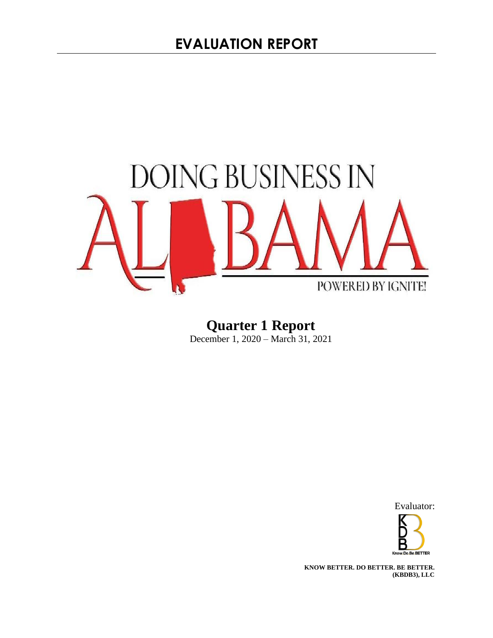

**Quarter 1 Report**  December 1, 2020 – March 31, 2021

Evaluator:



**KNOW BETTER. DO BETTER. BE BETTER. (KBDB3), LLC**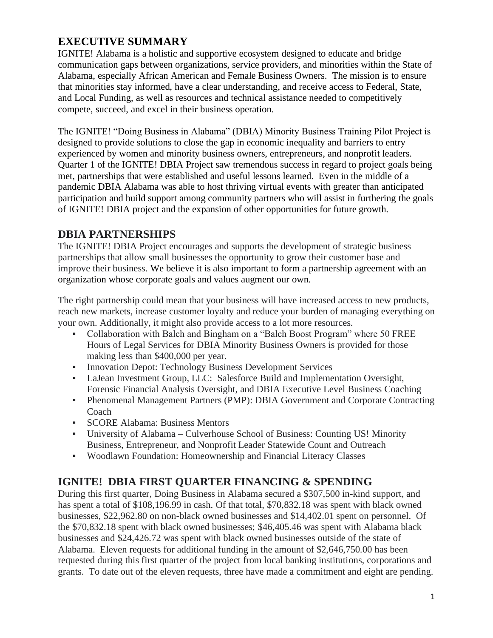# **EXECUTIVE SUMMARY**

IGNITE! Alabama is a holistic and supportive ecosystem designed to educate and bridge communication gaps between organizations, service providers, and minorities within the State of Alabama, especially African American and Female Business Owners. The mission is to ensure that minorities stay informed, have a clear understanding, and receive access to Federal, State, and Local Funding, as well as resources and technical assistance needed to competitively compete, succeed, and excel in their business operation.

The IGNITE! "Doing Business in Alabama" (DBIA) Minority Business Training Pilot Project is designed to provide solutions to close the gap in economic inequality and barriers to entry experienced by women and minority business owners, entrepreneurs, and nonprofit leaders. Quarter 1 of the IGNITE! DBIA Project saw tremendous success in regard to project goals being met, partnerships that were established and useful lessons learned. Even in the middle of a pandemic DBIA Alabama was able to host thriving virtual events with greater than anticipated participation and build support among community partners who will assist in furthering the goals of IGNITE! DBIA project and the expansion of other opportunities for future growth.

# **DBIA PARTNERSHIPS**

The IGNITE! DBIA Project encourages and supports the development of strategic business partnerships that allow small businesses the opportunity to grow their customer base and improve their business. We believe it is also important to form a partnership agreement with an organization whose corporate goals and values augment our own.

The right partnership could mean that your business will have increased access to new products, reach new markets, increase customer loyalty and reduce your burden of managing everything on your own. Additionally, it might also provide access to a lot more resources.

- Collaboration with Balch and Bingham on a "Balch Boost Program" where 50 FREE Hours of Legal Services for DBIA Minority Business Owners is provided for those making less than \$400,000 per year.
- **Innovation Depot: Technology Business Development Services**
- LaJean Investment Group, LLC: Salesforce Build and Implementation Oversight, Forensic Financial Analysis Oversight, and DBIA Executive Level Business Coaching
- Phenomenal Management Partners (PMP): DBIA Government and Corporate Contracting Coach
- SCORE Alabama: Business Mentors
- University of Alabama Culverhouse School of Business: Counting US! Minority Business, Entrepreneur, and Nonprofit Leader Statewide Count and Outreach
- Woodlawn Foundation: Homeownership and Financial Literacy Classes

## **IGNITE! DBIA FIRST QUARTER FINANCING & SPENDING**

During this first quarter, Doing Business in Alabama secured a \$307,500 in-kind support, and has spent a total of \$108,196.99 in cash. Of that total, \$70,832.18 was spent with black owned businesses, \$22,962.80 on non-black owned businesses and \$14,402.01 spent on personnel. Of the \$70,832.18 spent with black owned businesses; \$46,405.46 was spent with Alabama black businesses and \$24,426.72 was spent with black owned businesses outside of the state of Alabama. Eleven requests for additional funding in the amount of \$2,646,750.00 has been requested during this first quarter of the project from local banking institutions, corporations and grants. To date out of the eleven requests, three have made a commitment and eight are pending.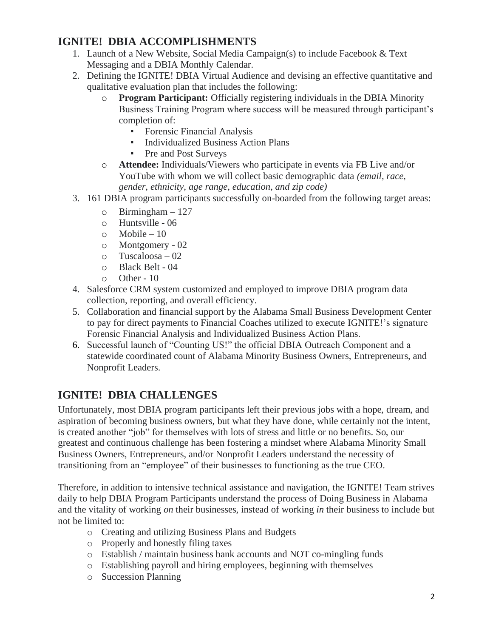# **IGNITE! DBIA ACCOMPLISHMENTS**

- 1. Launch of a New Website, Social Media Campaign(s) to include Facebook & Text Messaging and a DBIA Monthly Calendar.
- 2. Defining the IGNITE! DBIA Virtual Audience and devising an effective quantitative and qualitative evaluation plan that includes the following:
	- o **Program Participant:** Officially registering individuals in the DBIA Minority Business Training Program where success will be measured through participant's completion of:
		- Forensic Financial Analysis
		- Individualized Business Action Plans
		- Pre and Post Surveys
	- o **Attendee:** Individuals/Viewers who participate in events via FB Live and/or YouTube with whom we will collect basic demographic data *(email, race, gender, ethnicity, age range, education, and zip code)*
- 3. 161 DBIA program participants successfully on-boarded from the following target areas:
	- $\circ$  Birmingham 127
	- o Huntsville 06
	- $\circ$  Mobile 10
	- o Montgomery 02
	- o Tuscaloosa 02
	- o Black Belt 04
	- o Other 10
- 4. Salesforce CRM system customized and employed to improve DBIA program data collection, reporting, and overall efficiency.
- 5. Collaboration and financial support by the Alabama Small Business Development Center to pay for direct payments to Financial Coaches utilized to execute IGNITE!'s signature Forensic Financial Analysis and Individualized Business Action Plans.
- 6. Successful launch of "Counting US!" the official DBIA Outreach Component and a statewide coordinated count of Alabama Minority Business Owners, Entrepreneurs, and Nonprofit Leaders.

# **IGNITE! DBIA CHALLENGES**

Unfortunately, most DBIA program participants left their previous jobs with a hope, dream, and aspiration of becoming business owners, but what they have done, while certainly not the intent, is created another "job" for themselves with lots of stress and little or no benefits. So, our greatest and continuous challenge has been fostering a mindset where Alabama Minority Small Business Owners, Entrepreneurs, and/or Nonprofit Leaders understand the necessity of transitioning from an "employee" of their businesses to functioning as the true CEO.

Therefore, in addition to intensive technical assistance and navigation, the IGNITE! Team strives daily to help DBIA Program Participants understand the process of Doing Business in Alabama and the vitality of working *on* their businesses, instead of working *in* their business to include but not be limited to:

- o Creating and utilizing Business Plans and Budgets
- o Properly and honestly filing taxes
- o Establish / maintain business bank accounts and NOT co-mingling funds
- o Establishing payroll and hiring employees, beginning with themselves
- o Succession Planning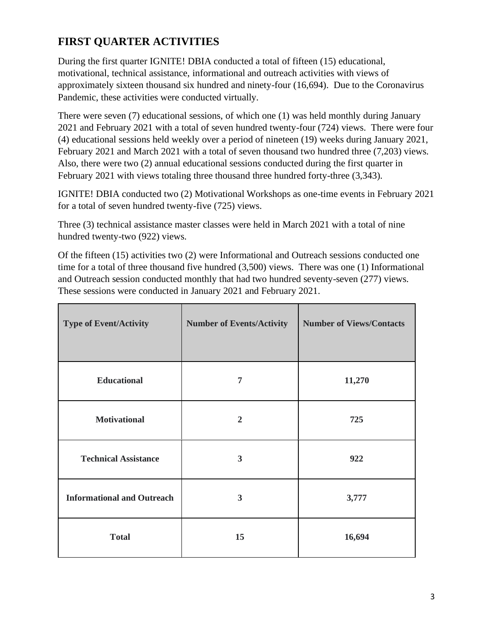# **FIRST QUARTER ACTIVITIES**

During the first quarter IGNITE! DBIA conducted a total of fifteen (15) educational, motivational, technical assistance, informational and outreach activities with views of approximately sixteen thousand six hundred and ninety-four (16,694). Due to the Coronavirus Pandemic, these activities were conducted virtually.

There were seven (7) educational sessions, of which one (1) was held monthly during January 2021 and February 2021 with a total of seven hundred twenty-four (724) views. There were four (4) educational sessions held weekly over a period of nineteen (19) weeks during January 2021, February 2021 and March 2021 with a total of seven thousand two hundred three (7,203) views. Also, there were two (2) annual educational sessions conducted during the first quarter in February 2021 with views totaling three thousand three hundred forty-three  $(3,343)$ .

IGNITE! DBIA conducted two (2) Motivational Workshops as one-time events in February 2021 for a total of seven hundred twenty-five (725) views.

Three (3) technical assistance master classes were held in March 2021 with a total of nine hundred twenty-two (922) views.

Of the fifteen (15) activities two (2) were Informational and Outreach sessions conducted one time for a total of three thousand five hundred (3,500) views. There was one (1) Informational and Outreach session conducted monthly that had two hundred seventy-seven (277) views. These sessions were conducted in January 2021 and February 2021.

| <b>Type of Event/Activity</b>     | <b>Number of Events/Activity</b> | <b>Number of Views/Contacts</b> |
|-----------------------------------|----------------------------------|---------------------------------|
| <b>Educational</b>                | 7                                | 11,270                          |
| <b>Motivational</b>               | $\overline{2}$                   | 725                             |
| <b>Technical Assistance</b>       | $\mathbf{3}$                     | 922                             |
| <b>Informational and Outreach</b> | 3                                | 3,777                           |
| <b>Total</b>                      | 15                               | 16,694                          |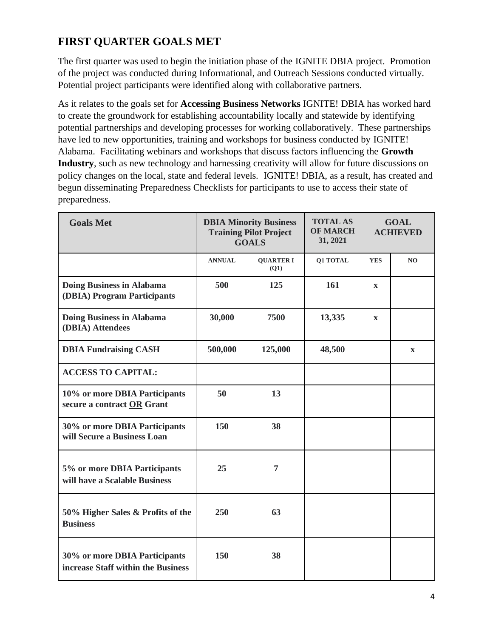# **FIRST QUARTER GOALS MET**

The first quarter was used to begin the initiation phase of the IGNITE DBIA project. Promotion of the project was conducted during Informational, and Outreach Sessions conducted virtually. Potential project participants were identified along with collaborative partners.

As it relates to the goals set for **Accessing Business Networks** IGNITE! DBIA has worked hard to create the groundwork for establishing accountability locally and statewide by identifying potential partnerships and developing processes for working collaboratively. These partnerships have led to new opportunities, training and workshops for business conducted by IGNITE! Alabama. Facilitating webinars and workshops that discuss factors influencing the **Growth Industry**, such as new technology and harnessing creativity will allow for future discussions on policy changes on the local, state and federal levels. IGNITE! DBIA, as a result, has created and begun disseminating Preparedness Checklists for participants to use to access their state of preparedness.

| <b>Goals Met</b>                                                    | <b>DBIA Minority Business</b><br><b>Training Pilot Project</b><br><b>GOALS</b> |                          | <b>TOTAL AS</b><br><b>OF MARCH</b><br>31, 2021 | <b>GOAL</b><br><b>ACHIEVED</b> |                |
|---------------------------------------------------------------------|--------------------------------------------------------------------------------|--------------------------|------------------------------------------------|--------------------------------|----------------|
|                                                                     | <b>ANNUAL</b>                                                                  | <b>QUARTER I</b><br>(O1) | Q1 TOTAL                                       | <b>YES</b>                     | N <sub>O</sub> |
| <b>Doing Business in Alabama</b><br>(DBIA) Program Participants     | 500                                                                            | 125                      | 161                                            | $\mathbf{x}$                   |                |
| <b>Doing Business in Alabama</b><br>(DBIA) Attendees                | 30,000                                                                         | 7500                     | 13,335                                         | $\mathbf{X}$                   |                |
| <b>DBIA Fundraising CASH</b>                                        | 500,000                                                                        | 125,000                  | 48,500                                         |                                | $\mathbf X$    |
| <b>ACCESS TO CAPITAL:</b>                                           |                                                                                |                          |                                                |                                |                |
| 10% or more DBIA Participants<br>secure a contract OR Grant         | 50                                                                             | 13                       |                                                |                                |                |
| 30% or more DBIA Participants<br>will Secure a Business Loan        | 150                                                                            | 38                       |                                                |                                |                |
| 5% or more DBIA Participants<br>will have a Scalable Business       | 25                                                                             | 7                        |                                                |                                |                |
| 50% Higher Sales & Profits of the<br><b>Business</b>                | 250                                                                            | 63                       |                                                |                                |                |
| 30% or more DBIA Participants<br>increase Staff within the Business | 150                                                                            | 38                       |                                                |                                |                |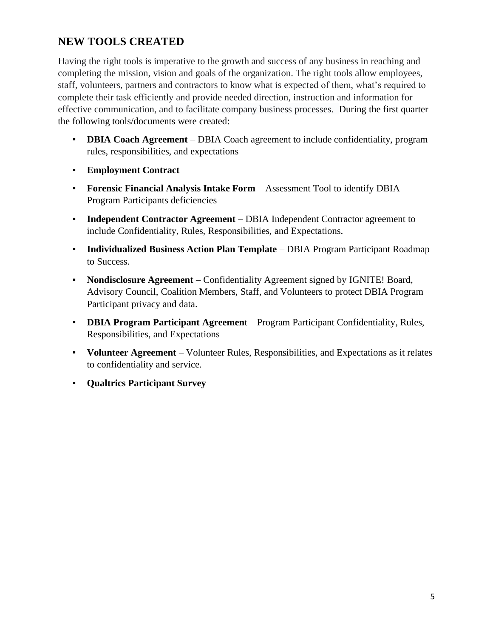# **NEW TOOLS CREATED**

Having the right tools is imperative to the growth and success of any business in reaching and completing the mission, vision and goals of the organization. The right tools allow employees, staff, volunteers, partners and contractors to know what is expected of them, what's required to complete their task efficiently and provide needed direction, instruction and information for effective communication, and to facilitate company business processes. During the first quarter the following tools/documents were created:

- **DBIA Coach Agreement** DBIA Coach agreement to include confidentiality, program rules, responsibilities, and expectations
- **Employment Contract**
- **Forensic Financial Analysis Intake Form** Assessment Tool to identify DBIA Program Participants deficiencies
- **Independent Contractor Agreement** DBIA Independent Contractor agreement to include Confidentiality, Rules, Responsibilities, and Expectations.
- **Individualized Business Action Plan Template** DBIA Program Participant Roadmap to Success.
- **Nondisclosure Agreement** Confidentiality Agreement signed by IGNITE! Board, Advisory Council, Coalition Members, Staff, and Volunteers to protect DBIA Program Participant privacy and data.
- **DBIA Program Participant Agreemen**t Program Participant Confidentiality, Rules, Responsibilities, and Expectations
- **Volunteer Agreement** Volunteer Rules, Responsibilities, and Expectations as it relates to confidentiality and service.
- **Qualtrics Participant Survey**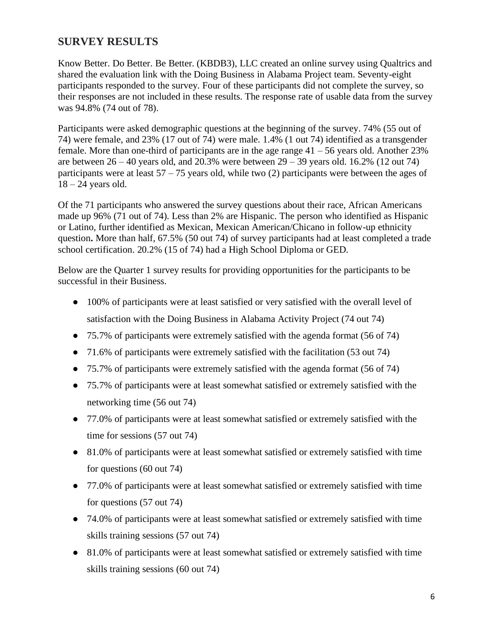## **SURVEY RESULTS**

Know Better. Do Better. Be Better. (KBDB3), LLC created an online survey using Qualtrics and shared the evaluation link with the Doing Business in Alabama Project team. Seventy-eight participants responded to the survey. Four of these participants did not complete the survey, so their responses are not included in these results. The response rate of usable data from the survey was 94.8% (74 out of 78).

Participants were asked demographic questions at the beginning of the survey. 74% (55 out of 74) were female, and 23% (17 out of 74) were male. 1.4% (1 out 74) identified as a transgender female. More than one-third of participants are in the age range  $41 - 56$  years old. Another 23% are between  $26 - 40$  years old, and  $20.3\%$  were between  $29 - 39$  years old. 16.2% (12 out 74) participants were at least  $57 - 75$  years old, while two (2) participants were between the ages of  $18 - 24$  years old.

Of the 71 participants who answered the survey questions about their race, African Americans made up 96% (71 out of 74). Less than 2% are Hispanic. The person who identified as Hispanic or Latino, further identified as Mexican, Mexican American/Chicano in follow-up ethnicity question**.** More than half, 67.5% (50 out 74) of survey participants had at least completed a trade school certification. 20.2% (15 of 74) had a High School Diploma or GED.

Below are the Quarter 1 survey results for providing opportunities for the participants to be successful in their Business.

- 100% of participants were at least satisfied or very satisfied with the overall level of satisfaction with the Doing Business in Alabama Activity Project (74 out 74)
- 75.7% of participants were extremely satisfied with the agenda format (56 of 74)
- 71.6% of participants were extremely satisfied with the facilitation (53 out 74)
- 75.7% of participants were extremely satisfied with the agenda format (56 of 74)
- 75.7% of participants were at least somewhat satisfied or extremely satisfied with the networking time (56 out 74)
- 77.0% of participants were at least somewhat satisfied or extremely satisfied with the time for sessions (57 out 74)
- 81.0% of participants were at least somewhat satisfied or extremely satisfied with time for questions (60 out 74)
- 77.0% of participants were at least somewhat satisfied or extremely satisfied with time for questions (57 out 74)
- 74.0% of participants were at least somewhat satisfied or extremely satisfied with time skills training sessions (57 out 74)
- 81.0% of participants were at least somewhat satisfied or extremely satisfied with time skills training sessions (60 out 74)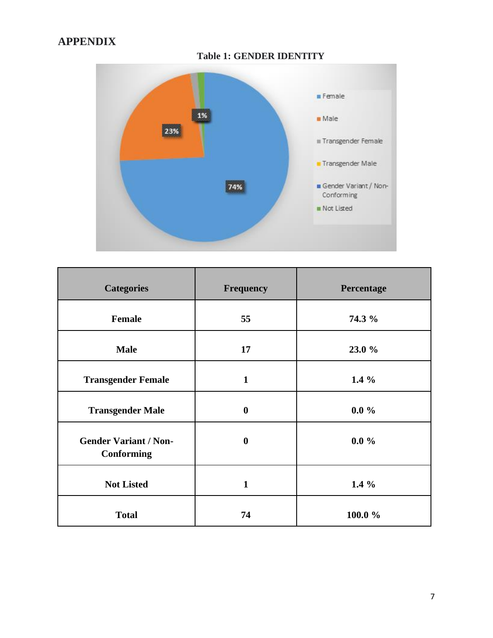# **APPENDIX**

**Table 1: GENDER IDENTITY**



| <b>Categories</b>                                 | <b>Frequency</b> | Percentage |
|---------------------------------------------------|------------------|------------|
| Female                                            | 55               | 74.3 %     |
| <b>Male</b>                                       | 17               | 23.0 %     |
| <b>Transgender Female</b>                         | $\mathbf{1}$     | $1.4\%$    |
| <b>Transgender Male</b>                           | $\boldsymbol{0}$ | $0.0\%$    |
| <b>Gender Variant / Non-</b><br><b>Conforming</b> | $\boldsymbol{0}$ | $0.0\%$    |
| <b>Not Listed</b>                                 | $\mathbf{1}$     | 1.4 $%$    |
| <b>Total</b>                                      | 74               | 100.0%     |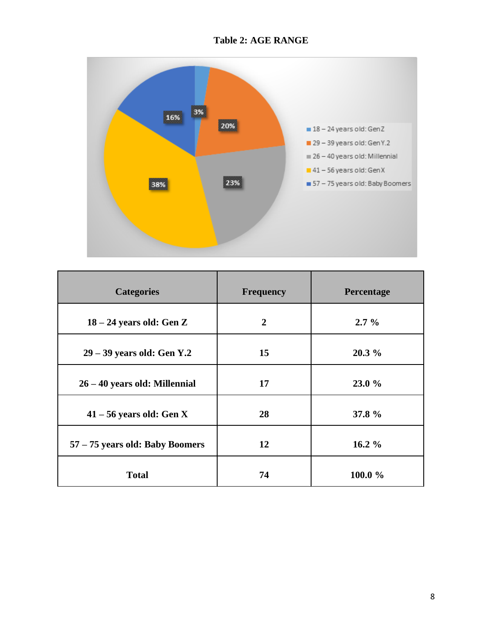## **Table 2: AGE RANGE**



| <b>Categories</b>               | <b>Frequency</b> | Percentage |
|---------------------------------|------------------|------------|
| $18 - 24$ years old: Gen Z      | $\overline{2}$   | $2.7\%$    |
| $29 - 39$ years old: Gen Y.2    | 15               | $20.3\%$   |
| 26 – 40 years old: Millennial   | 17               | 23.0 %     |
| $41 - 56$ years old: Gen X      | 28               | 37.8 %     |
| 57 - 75 years old: Baby Boomers | 12               | $16.2 \%$  |
| <b>Total</b>                    | 74               | 100.0 %    |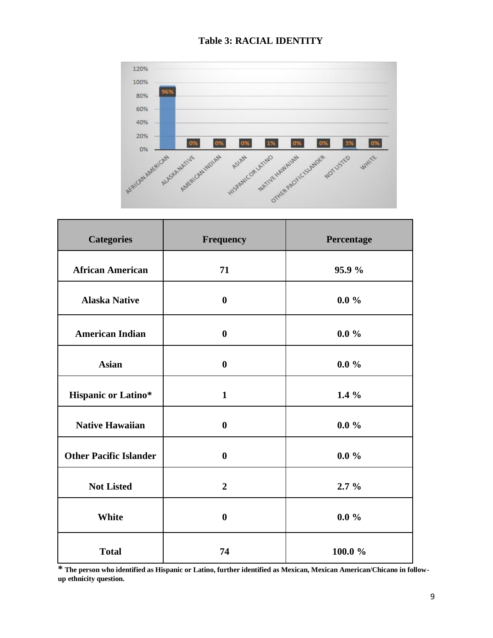

### **Table 3: RACIAL IDENTITY**

| <b>Categories</b>             | Frequency        | Percentage |
|-------------------------------|------------------|------------|
| <b>African American</b>       | 71               | 95.9%      |
| <b>Alaska Native</b>          | $\boldsymbol{0}$ | $0.0\%$    |
| <b>American Indian</b>        | $\boldsymbol{0}$ | $0.0 \%$   |
| <b>Asian</b>                  | $\bf{0}$         | $0.0\%$    |
| <b>Hispanic or Latino*</b>    | $\mathbf{1}$     | $1.4\%$    |
| <b>Native Hawaiian</b>        | $\bf{0}$         | $0.0 \%$   |
| <b>Other Pacific Islander</b> | $\bf{0}$         | $0.0\%$    |
| <b>Not Listed</b>             | $\overline{2}$   | $2.7\%$    |
| <b>White</b>                  | $\boldsymbol{0}$ | $0.0\%$    |
| <b>Total</b>                  | 74               | 100.0%     |

**\* The person who identified as Hispanic or Latino, further identified as Mexican, Mexican American/Chicano in followup ethnicity question.**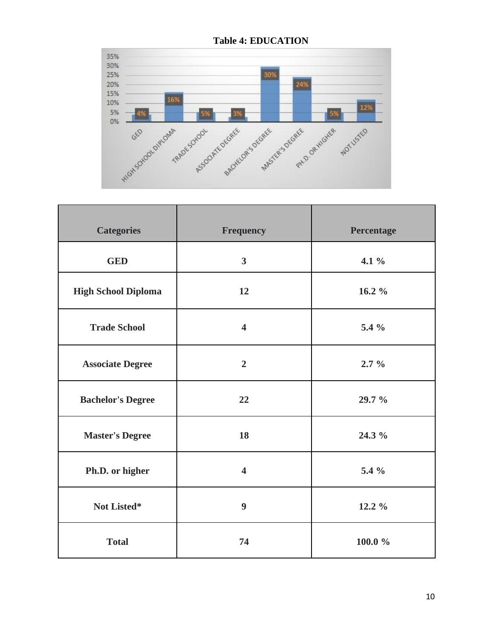

**Table 4: EDUCATION**

| <b>Categories</b>          | <b>Frequency</b>        | Percentage |
|----------------------------|-------------------------|------------|
| <b>GED</b>                 | $\overline{3}$          | 4.1 $%$    |
| <b>High School Diploma</b> | 12                      | 16.2 $%$   |
| <b>Trade School</b>        | $\overline{\mathbf{4}}$ | 5.4 %      |
| <b>Associate Degree</b>    | $\overline{2}$          | $2.7\%$    |
| <b>Bachelor's Degree</b>   | 22                      | 29.7 %     |
| <b>Master's Degree</b>     | 18                      | 24.3 %     |
| Ph.D. or higher            | $\overline{\mathbf{4}}$ | 5.4 %      |
| Not Listed*                | 9                       | 12.2 %     |
| <b>Total</b>               | 74                      | $100.0 \%$ |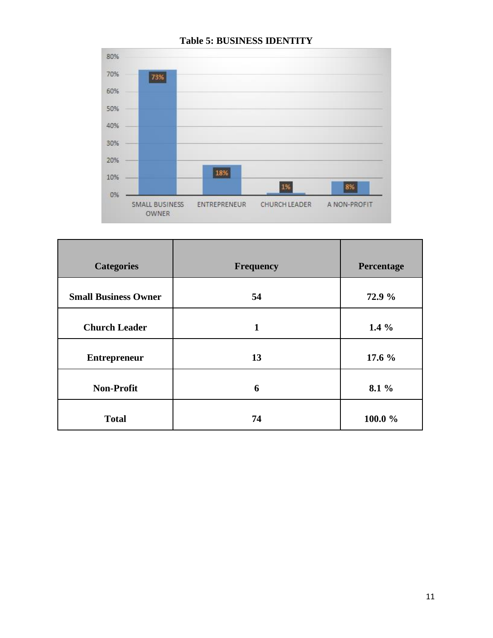

### **Table 5: BUSINESS IDENTITY**

| <b>Categories</b>           | <b>Frequency</b> | Percentage |
|-----------------------------|------------------|------------|
| <b>Small Business Owner</b> | 54               | 72.9 %     |
| <b>Church Leader</b>        | 1                | $1.4\%$    |
| <b>Entrepreneur</b>         | 13               | 17.6 %     |
| <b>Non-Profit</b>           | 6                | 8.1 %      |
| <b>Total</b>                | 74               | 100.0%     |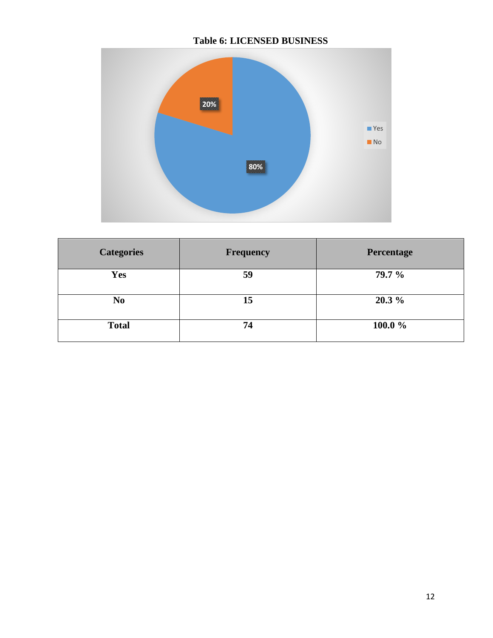## **Table 6: LICENSED BUSINESS**



| <b>Categories</b> | <b>Frequency</b> | Percentage |
|-------------------|------------------|------------|
| <b>Yes</b>        | 59               | 79.7 %     |
| N <sub>0</sub>    | 15               | $20.3\%$   |
| <b>Total</b>      | 74               | 100.0 %    |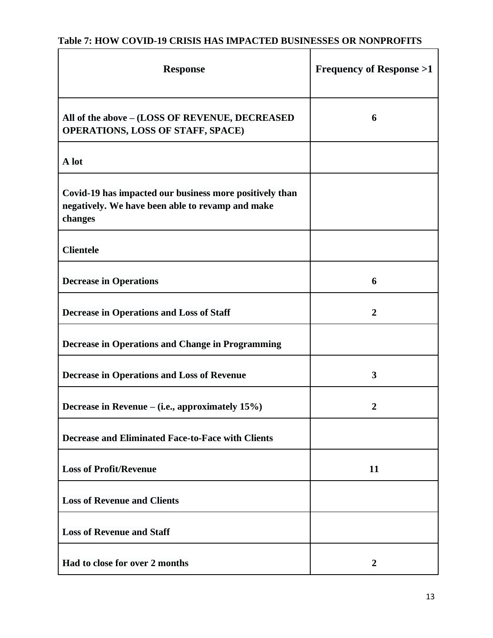# **Table 7: HOW COVID-19 CRISIS HAS IMPACTED BUSINESSES OR NONPROFITS**

| <b>Response</b>                                                                                                        | <b>Frequency of Response &gt;1</b> |
|------------------------------------------------------------------------------------------------------------------------|------------------------------------|
| All of the above - (LOSS OF REVENUE, DECREASED<br><b>OPERATIONS, LOSS OF STAFF, SPACE)</b>                             | 6                                  |
| A lot                                                                                                                  |                                    |
| Covid-19 has impacted our business more positively than<br>negatively. We have been able to revamp and make<br>changes |                                    |
| <b>Clientele</b>                                                                                                       |                                    |
| <b>Decrease in Operations</b>                                                                                          | 6                                  |
| <b>Decrease in Operations and Loss of Staff</b>                                                                        | $\boldsymbol{2}$                   |
| <b>Decrease in Operations and Change in Programming</b>                                                                |                                    |
| <b>Decrease in Operations and Loss of Revenue</b>                                                                      | 3                                  |
| Decrease in Revenue – (i.e., approximately 15%)                                                                        |                                    |
| <b>Decrease and Eliminated Face-to-Face with Clients</b>                                                               |                                    |
| <b>Loss of Profit/Revenue</b>                                                                                          | 11                                 |
| <b>Loss of Revenue and Clients</b>                                                                                     |                                    |
| <b>Loss of Revenue and Staff</b>                                                                                       |                                    |
| Had to close for over 2 months                                                                                         | $\overline{2}$                     |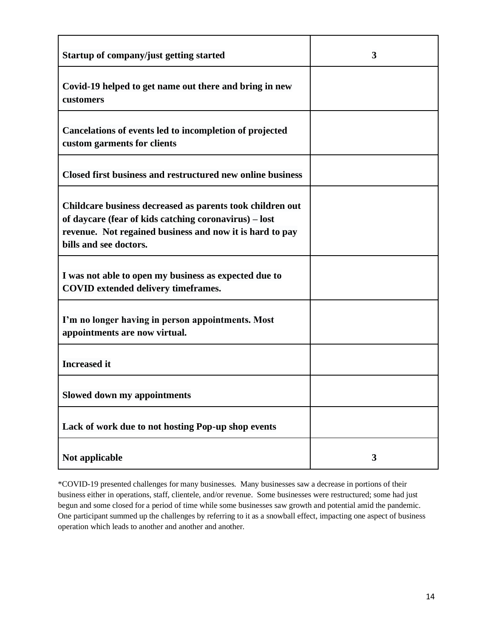| Startup of company/just getting started                                                                                                                                                                  | 3 |
|----------------------------------------------------------------------------------------------------------------------------------------------------------------------------------------------------------|---|
| Covid-19 helped to get name out there and bring in new<br>customers                                                                                                                                      |   |
| Cancelations of events led to incompletion of projected<br>custom garments for clients                                                                                                                   |   |
| Closed first business and restructured new online business                                                                                                                                               |   |
| Childcare business decreased as parents took children out<br>of daycare (fear of kids catching coronavirus) – lost<br>revenue. Not regained business and now it is hard to pay<br>bills and see doctors. |   |
| I was not able to open my business as expected due to<br><b>COVID</b> extended delivery timeframes.                                                                                                      |   |
| I'm no longer having in person appointments. Most<br>appointments are now virtual.                                                                                                                       |   |
| <b>Increased</b> it                                                                                                                                                                                      |   |
| <b>Slowed down my appointments</b>                                                                                                                                                                       |   |
| Lack of work due to not hosting Pop-up shop events                                                                                                                                                       |   |
| Not applicable                                                                                                                                                                                           | 3 |

\*COVID-19 presented challenges for many businesses. Many businesses saw a decrease in portions of their business either in operations, staff, clientele, and/or revenue. Some businesses were restructured; some had just begun and some closed for a period of time while some businesses saw growth and potential amid the pandemic. One participant summed up the challenges by referring to it as a snowball effect, impacting one aspect of business operation which leads to another and another and another.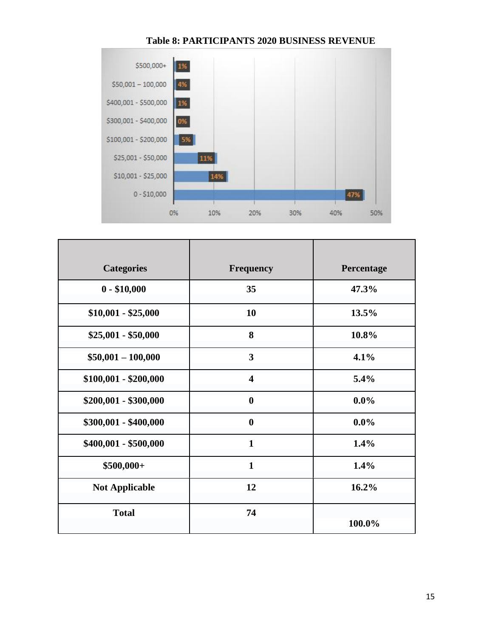

#### **Table 8: PARTICIPANTS 2020 BUSINESS REVENUE**

| <b>Categories</b>     | <b>Frequency</b>        | Percentage |
|-----------------------|-------------------------|------------|
| $0 - $10,000$         | 35                      | 47.3%      |
| $$10,001 - $25,000$   | 10                      | 13.5%      |
| $$25,001 - $50,000$   | 8                       | 10.8%      |
| $$50,001 - 100,000$   | 3                       | 4.1%       |
| $$100,001 - $200,000$ | $\overline{\mathbf{4}}$ | $5.4\%$    |
| \$200,001 - \$300,000 | $\boldsymbol{0}$        | $0.0\%$    |
| \$300,001 - \$400,000 | $\boldsymbol{0}$        | $0.0\%$    |
| \$400,001 - \$500,000 | $\mathbf{1}$            | 1.4%       |
| $$500,000+$           | $\mathbf{1}$            | 1.4%       |
| <b>Not Applicable</b> | 12                      | 16.2%      |
| <b>Total</b>          | 74                      | 100.0%     |
|                       |                         |            |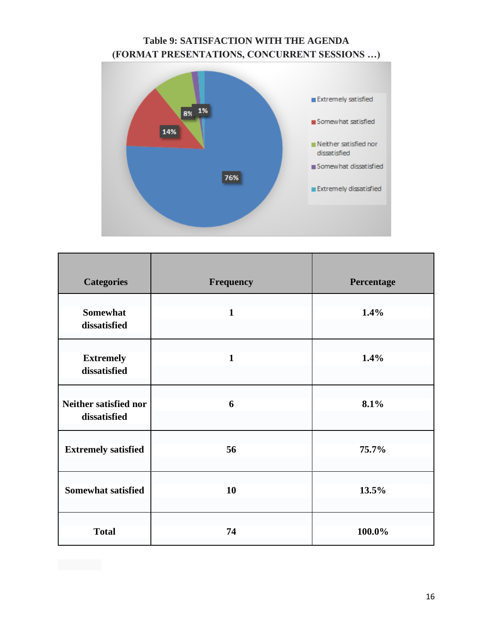## **Table 9: SATISFACTION WITH THE AGENDA (FORMAT PRESENTATIONS, CONCURRENT SESSIONS …)**



| <b>Categories</b>                     | Frequency    | Percentage |
|---------------------------------------|--------------|------------|
| <b>Somewhat</b><br>dissatisfied       | $\mathbf{1}$ | 1.4%       |
| <b>Extremely</b><br>dissatisfied      | $\mathbf{1}$ | 1.4%       |
| Neither satisfied nor<br>dissatisfied | 6            | 8.1%       |
| <b>Extremely satisfied</b>            | 56           | 75.7%      |
| <b>Somewhat satisfied</b>             | 10           | 13.5%      |
| <b>Total</b>                          | 74           | 100.0%     |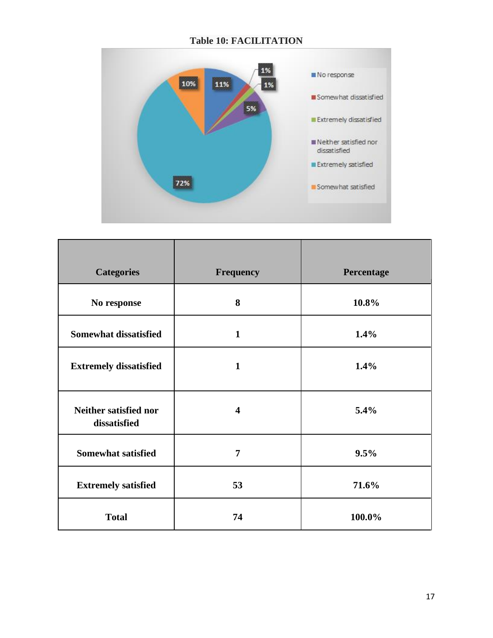## **Table 10: FACILITATION**



| <b>Categories</b>                            | <b>Frequency</b>        | Percentage |
|----------------------------------------------|-------------------------|------------|
| No response                                  | 8                       | 10.8%      |
| <b>Somewhat dissatisfied</b>                 | $\mathbf{1}$            | 1.4%       |
| <b>Extremely dissatisfied</b>                | $\mathbf{1}$            | 1.4%       |
| <b>Neither satisfied nor</b><br>dissatisfied | $\overline{\mathbf{4}}$ | 5.4%       |
| <b>Somewhat satisfied</b>                    | 7                       | 9.5%       |
| <b>Extremely satisfied</b>                   | 53                      | 71.6%      |
| <b>Total</b>                                 | 74                      | 100.0%     |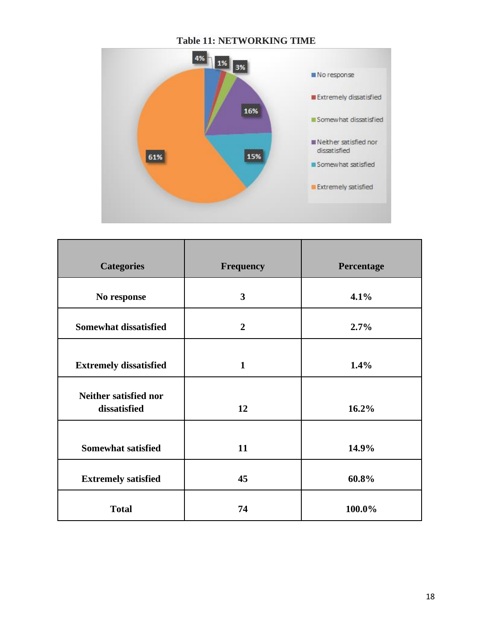

| <b>Categories</b>                     | <b>Frequency</b> | Percentage |
|---------------------------------------|------------------|------------|
| No response                           | 3                | 4.1%       |
| <b>Somewhat dissatisfied</b>          | $\overline{2}$   | 2.7%       |
| <b>Extremely dissatisfied</b>         | $\mathbf{1}$     | 1.4%       |
| Neither satisfied nor<br>dissatisfied | 12               | 16.2%      |
| <b>Somewhat satisfied</b>             | 11               | 14.9%      |
| <b>Extremely satisfied</b>            | 45               | 60.8%      |
| <b>Total</b>                          | 74               | 100.0%     |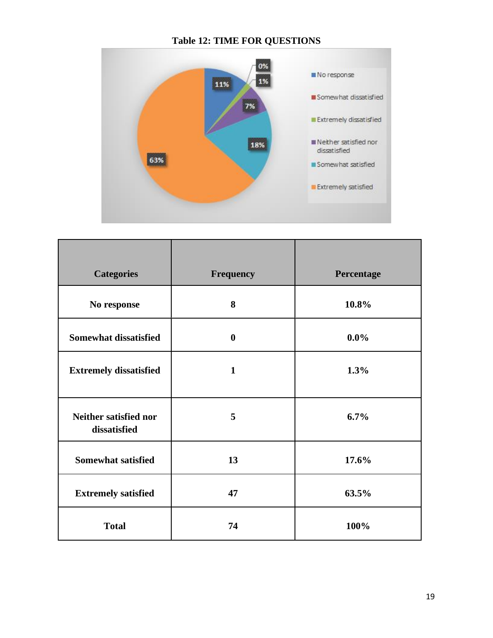## **Table 12: TIME FOR QUESTIONS**



| <b>Categories</b>                            | Frequency        | Percentage |
|----------------------------------------------|------------------|------------|
|                                              |                  |            |
| No response                                  | 8                | 10.8%      |
| <b>Somewhat dissatisfied</b>                 | $\boldsymbol{0}$ | $0.0\%$    |
| <b>Extremely dissatisfied</b>                | $\mathbf{1}$     | 1.3%       |
| <b>Neither satisfied nor</b><br>dissatisfied | 5                | 6.7%       |
| <b>Somewhat satisfied</b>                    | 13               | 17.6%      |
| <b>Extremely satisfied</b>                   | 47               | 63.5%      |
| <b>Total</b>                                 | 74               | 100%       |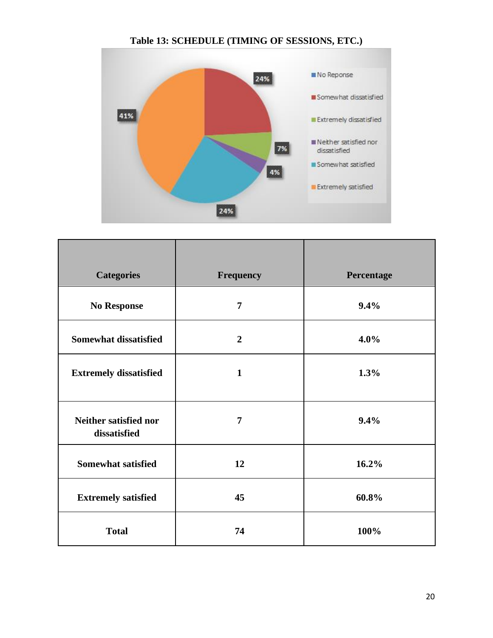



| <b>Categories</b>                     | <b>Frequency</b> | Percentage |
|---------------------------------------|------------------|------------|
| <b>No Response</b>                    | $\overline{7}$   | 9.4%       |
| <b>Somewhat dissatisfied</b>          | $\overline{2}$   | $4.0\%$    |
| <b>Extremely dissatisfied</b>         | $\mathbf{1}$     | 1.3%       |
| Neither satisfied nor<br>dissatisfied | $\overline{7}$   | 9.4%       |
| <b>Somewhat satisfied</b>             | 12               | 16.2%      |
| <b>Extremely satisfied</b>            | 45               | 60.8%      |
| <b>Total</b>                          | 74               | 100%       |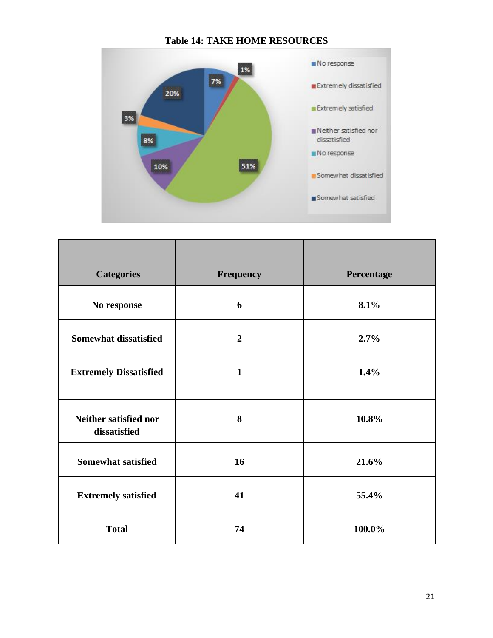

#### **Table 14: TAKE HOME RESOURCES**

| <b>Categories</b>                            | Frequency      | Percentage |
|----------------------------------------------|----------------|------------|
| No response                                  | 6              | 8.1%       |
| <b>Somewhat dissatisfied</b>                 | $\overline{2}$ | 2.7%       |
| <b>Extremely Dissatisfied</b>                | $\mathbf{1}$   | 1.4%       |
| <b>Neither satisfied nor</b><br>dissatisfied | 8              | 10.8%      |
| <b>Somewhat satisfied</b>                    | 16             | 21.6%      |
| <b>Extremely satisfied</b>                   | 41             | 55.4%      |
| <b>Total</b>                                 | 74             | 100.0%     |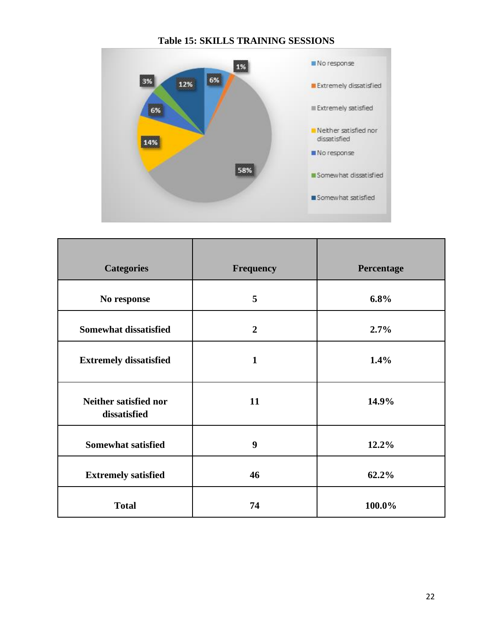

| <b>Categories</b>                     | Frequency      | Percentage |
|---------------------------------------|----------------|------------|
| No response                           | 5              | 6.8%       |
| <b>Somewhat dissatisfied</b>          | $\overline{2}$ | 2.7%       |
| <b>Extremely dissatisfied</b>         | 1              | 1.4%       |
| Neither satisfied nor<br>dissatisfied | 11             | 14.9%      |
| <b>Somewhat satisfied</b>             | 9              | 12.2%      |
| <b>Extremely satisfied</b>            | 46             | 62.2%      |
| <b>Total</b>                          | 74             | 100.0%     |

**Table 15: SKILLS TRAINING SESSIONS**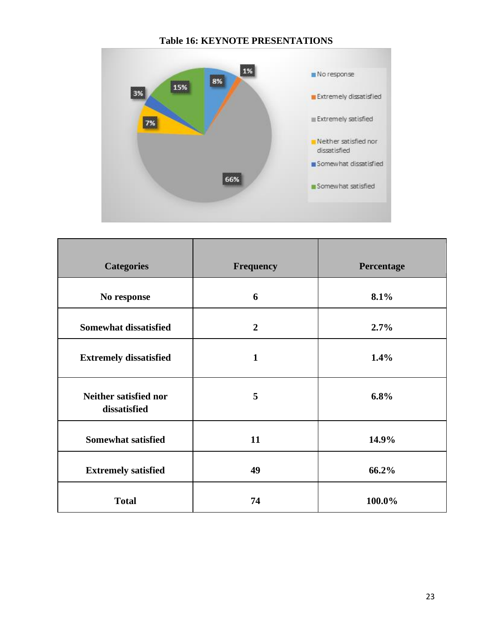

| <b>Categories</b>                     | <b>Frequency</b> | Percentage |
|---------------------------------------|------------------|------------|
| No response                           | 6                | 8.1%       |
| <b>Somewhat dissatisfied</b>          | $\overline{2}$   | 2.7%       |
| <b>Extremely dissatisfied</b>         | $\mathbf{1}$     | 1.4%       |
| Neither satisfied nor<br>dissatisfied | 5                | 6.8%       |
| <b>Somewhat satisfied</b>             | 11               | 14.9%      |
| <b>Extremely satisfied</b>            | 49               | 66.2%      |
| <b>Total</b>                          | 74               | 100.0%     |

#### **Table 16: KEYNOTE PRESENTATIONS**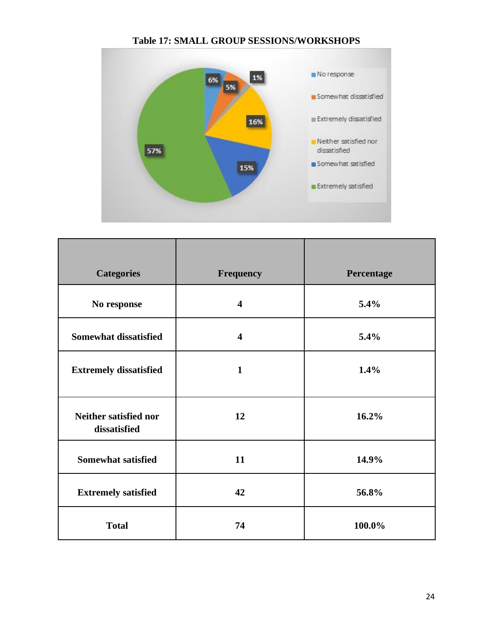

#### **Table 17: SMALL GROUP SESSIONS/WORKSHOPS**

| <b>Categories</b>                     | Frequency               | Percentage |
|---------------------------------------|-------------------------|------------|
| No response                           | $\overline{\mathbf{4}}$ | 5.4%       |
| <b>Somewhat dissatisfied</b>          | $\overline{\mathbf{4}}$ | 5.4%       |
| <b>Extremely dissatisfied</b>         | $\mathbf{1}$            | 1.4%       |
| Neither satisfied nor<br>dissatisfied | 12                      | 16.2%      |
| <b>Somewhat satisfied</b>             | 11                      | 14.9%      |
| <b>Extremely satisfied</b>            | 42                      | 56.8%      |
| <b>Total</b>                          | 74                      | 100.0%     |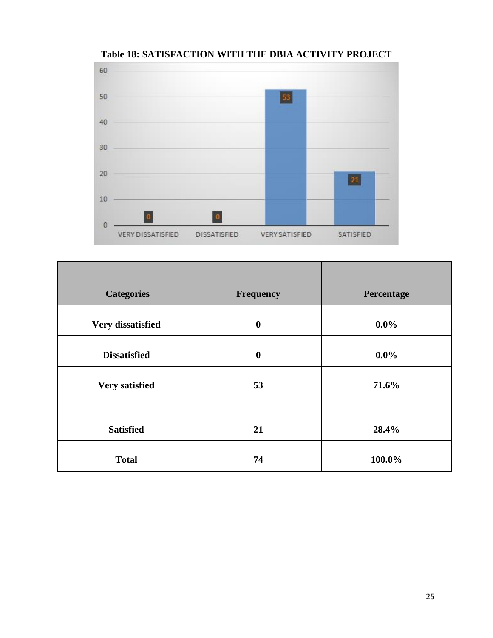

**Table 18: SATISFACTION WITH THE DBIA ACTIVITY PROJECT**

| <b>Categories</b>     | <b>Frequency</b> | Percentage |
|-----------------------|------------------|------------|
| Very dissatisfied     | $\bf{0}$         | $0.0\%$    |
| <b>Dissatisfied</b>   | $\boldsymbol{0}$ | $0.0\%$    |
| <b>Very satisfied</b> | 53               | 71.6%      |
| <b>Satisfied</b>      | 21               | 28.4%      |
| <b>Total</b>          | 74               | 100.0%     |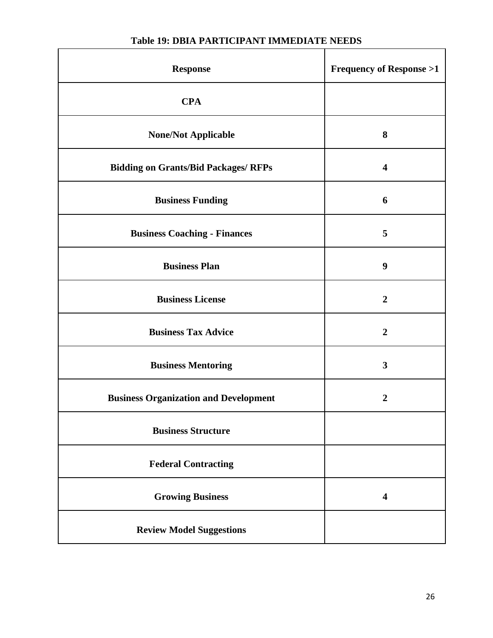| <b>Response</b>                              | <b>Frequency of Response &gt;1</b> |
|----------------------------------------------|------------------------------------|
| <b>CPA</b>                                   |                                    |
| <b>None/Not Applicable</b>                   | 8                                  |
| <b>Bidding on Grants/Bid Packages/ RFPs</b>  | $\overline{\mathbf{4}}$            |
| <b>Business Funding</b>                      | 6                                  |
| <b>Business Coaching - Finances</b>          | 5                                  |
| <b>Business Plan</b>                         | 9                                  |
| <b>Business License</b>                      | $\overline{2}$                     |
| <b>Business Tax Advice</b>                   | $\boldsymbol{2}$                   |
| <b>Business Mentoring</b>                    | $\mathbf{3}$                       |
| <b>Business Organization and Development</b> | $\boldsymbol{2}$                   |
| <b>Business Structure</b>                    |                                    |
| <b>Federal Contracting</b>                   |                                    |
| <b>Growing Business</b>                      | $\overline{\mathbf{4}}$            |
| <b>Review Model Suggestions</b>              |                                    |

## **Table 19: DBIA PARTICIPANT IMMEDIATE NEEDS**

 $\mathbf{r}$ 

ī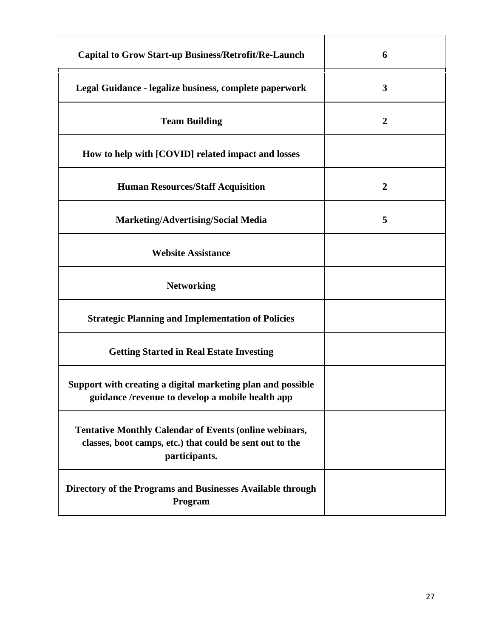| <b>Capital to Grow Start-up Business/Retrofit/Re-Launch</b>                                                                                | 6                |
|--------------------------------------------------------------------------------------------------------------------------------------------|------------------|
| Legal Guidance - legalize business, complete paperwork                                                                                     | 3                |
| <b>Team Building</b>                                                                                                                       | $\boldsymbol{2}$ |
| How to help with [COVID] related impact and losses                                                                                         |                  |
| <b>Human Resources/Staff Acquisition</b>                                                                                                   | $\overline{2}$   |
| <b>Marketing/Advertising/Social Media</b>                                                                                                  | 5                |
| <b>Website Assistance</b>                                                                                                                  |                  |
| <b>Networking</b>                                                                                                                          |                  |
| <b>Strategic Planning and Implementation of Policies</b>                                                                                   |                  |
| <b>Getting Started in Real Estate Investing</b>                                                                                            |                  |
| Support with creating a digital marketing plan and possible<br>guidance /revenue to develop a mobile health app                            |                  |
| <b>Tentative Monthly Calendar of Events (online webinars,</b><br>classes, boot camps, etc.) that could be sent out to the<br>participants. |                  |
| Directory of the Programs and Businesses Available through<br>Program                                                                      |                  |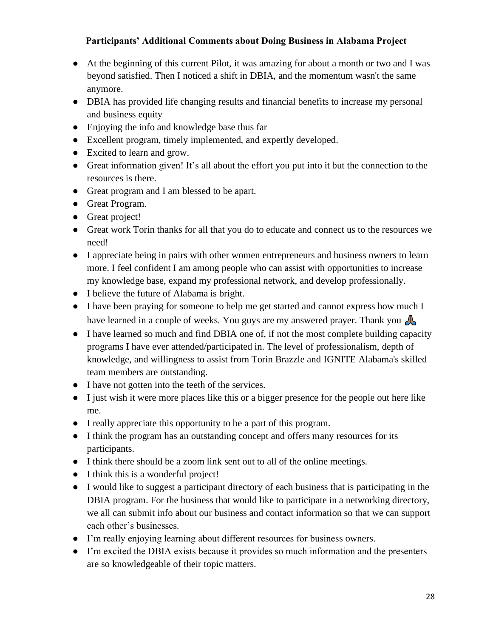## **Participants' Additional Comments about Doing Business in Alabama Project**

- At the beginning of this current Pilot, it was amazing for about a month or two and I was beyond satisfied. Then I noticed a shift in DBIA, and the momentum wasn't the same anymore.
- DBIA has provided life changing results and financial benefits to increase my personal and business equity
- Enjoying the info and knowledge base thus far
- Excellent program, timely implemented, and expertly developed.
- Excited to learn and grow.
- Great information given! It's all about the effort you put into it but the connection to the resources is there.
- Great program and I am blessed to be apart.
- Great Program.
- Great project!
- Great work Torin thanks for all that you do to educate and connect us to the resources we need!
- I appreciate being in pairs with other women entrepreneurs and business owners to learn more. I feel confident I am among people who can assist with opportunities to increase my knowledge base, expand my professional network, and develop professionally.
- I believe the future of Alabama is bright.
- I have been praying for someone to help me get started and cannot express how much I have learned in a couple of weeks. You guys are my answered prayer. Thank you
- I have learned so much and find DBIA one of, if not the most complete building capacity programs I have ever attended/participated in. The level of professionalism, depth of knowledge, and willingness to assist from Torin Brazzle and IGNITE Alabama's skilled team members are outstanding.
- I have not gotten into the teeth of the services.
- I just wish it were more places like this or a bigger presence for the people out here like me.
- I really appreciate this opportunity to be a part of this program.
- I think the program has an outstanding concept and offers many resources for its participants.
- I think there should be a zoom link sent out to all of the online meetings.
- I think this is a wonderful project!
- I would like to suggest a participant directory of each business that is participating in the DBIA program. For the business that would like to participate in a networking directory, we all can submit info about our business and contact information so that we can support each other's businesses.
- I'm really enjoying learning about different resources for business owners.
- I'm excited the DBIA exists because it provides so much information and the presenters are so knowledgeable of their topic matters.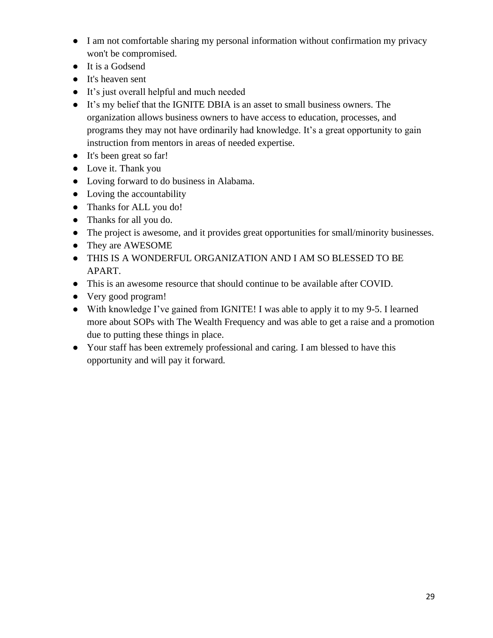- I am not comfortable sharing my personal information without confirmation my privacy won't be compromised.
- It is a Godsend
- It's heaven sent
- It's just overall helpful and much needed
- It's my belief that the IGNITE DBIA is an asset to small business owners. The organization allows business owners to have access to education, processes, and programs they may not have ordinarily had knowledge. It's a great opportunity to gain instruction from mentors in areas of needed expertise.
- It's been great so far!
- Love it. Thank you
- Loving forward to do business in Alabama.
- Loving the accountability
- Thanks for ALL you do!
- Thanks for all you do.
- The project is awesome, and it provides great opportunities for small/minority businesses.
- They are AWESOME
- THIS IS A WONDERFUL ORGANIZATION AND I AM SO BLESSED TO BE APART.
- This is an awesome resource that should continue to be available after COVID.
- Very good program!
- With knowledge I've gained from IGNITE! I was able to apply it to my 9-5. I learned more about SOPs with The Wealth Frequency and was able to get a raise and a promotion due to putting these things in place.
- Your staff has been extremely professional and caring. I am blessed to have this opportunity and will pay it forward.